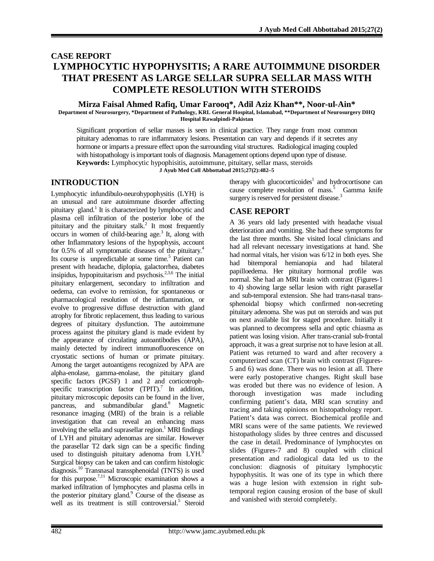# **CASE REPORT LYMPHOCYTIC HYPOPHYSITIS; A RARE AUTOIMMUNE DISORDER THAT PRESENT AS LARGE SELLAR SUPRA SELLAR MASS WITH COMPLETE RESOLUTION WITH STEROIDS**

# **Mirza Faisal Ahmed Rafiq, Umar Farooq\*, Adil Aziz Khan\*\*, Noor-ul-Ain\***

**Department of Neurosurgery, \*Department of Pathology, KRL General Hospital, Islamabad, \*\*Department of Neurosurgery DHQ Hospital Rawalpindi-Pakistan**

Significant proportion of sellar masses is seen in clinical practice. They range from most common pituitary adenomas to rare inflammatory lesions. Presentation can vary and depends if it secretes any hormone or imparts a pressure effect upon the surrounding vital structures. Radiological imaging coupled with histopathology is important tools of diagnosis. Management options depend upon type of disease. **Keywords:** Lymphocytic hypophisitis, autoimmune, pituitary, sellar mass, steroids

**J Ayub Med Coll Abbottabad 2015;27(2):482–5**

### **INTRODUCTION**

Lymphocytic infundibulo-neurohypophysitis (LYH) is an unusual and rare autoimmune disorder affecting pituitary gland.<sup>1</sup> It is characterized by lymphocytic and plasma cell infiltration of the posterior lobe of the pituitary and the pituitary stalk.<sup>2</sup> It most frequently occurs in women of child-bearing age.<sup>3</sup> It, along with other Inflammatory lesions of the hypophysis, account for 0.5% of all symptomatic diseases of the pituitary.<sup>4</sup> Its course is unpredictable at some time.<sup>5</sup> Patient can present with headache, diplopia, galactorrhea, diabetes insipidus, hypopituitarism and psychosis.<sup>2,3,6</sup> The initial pituitary enlargement, secondary to infiltration and oedema, can evolve to remission, for spontaneous or pharmacological resolution of the inflammation, or evolve to progressive diffuse destruction with gland atrophy for fibrotic replacement, thus leading to various degrees of pituitary dysfunction. The autoimmune process against the pituitary gland is made evident by the appearance of circulating autoantibodies (APA), mainly detected by indirect immunofluorescence on cryostatic sections of human or primate pituitary. Among the target autoantigens recognized by APA are alpha-enolase, gamma-enolase, the pituitary gland specific factors (PGSF) 1 and 2 and corticotrophspecific transcription factor  $(TPIT)$ .<sup>7</sup> In addition, pituitary microscopic deposits can be found in the liver, pancreas, and submandibular gland.<sup>8</sup> Magnetic resonance imaging (MRI) of the brain is a reliable investigation that can reveal an enhancing mass involving the sella and suprasellar region.<sup>1</sup> MRI findings of LYH and pituitary adenomas are similar. However the parasellar T2 dark sign can be a specific finding used to distinguish pituitary adenoma from LYH.<sup>9</sup> Surgical biopsy can be taken and can confirm histologic diagnosis.<sup>10</sup> Transnasal transsphenoidal (TNTS) is used for this purpose.<sup>7,11</sup> Microscopic examination shows a marked infiltration of lymphocytes and plasma cells in the posterior pituitary gland.<sup>9</sup> Course of the disease as well as its treatment is still controversial.<sup>5</sup> Steroid therapy with glucocorticoides<sup>1</sup> and hydrocortisone can cause complete resolution of mass.<sup>5</sup> Gamma knife surgery is reserved for persistent disease.<sup>3</sup>

### **CASE REPORT**

A 36 years old lady presented with headache visual deterioration and vomiting. She had these symptoms for the last three months. She visited local clinicians and had all relevant necessary investigations at hand. She had normal vitals, her vision was 6/12 in both eyes. She had bitemporal hemianopia and had bilateral papilloedema. Her pituitary hormonal profile was normal. She had an MRI brain with contrast (Figures-1 to 4) showing large sellar lesion with right parasellar and sub-temporal extension. She had trans-nasal transsphenoidal biopsy which confirmed non-secreting pituitary adenoma. She was put on steroids and was put on next available list for staged procedure. Initially it was planned to decompress sella and optic chiasma as patient was losing vision. After trans-cranial sub-frontal approach, it was a great surprise not to have lesion at all. Patient was returned to ward and after recovery a computerized scan (CT) brain with contrast (Figures-5 and 6) was done. There was no lesion at all. There were early postoperative changes. Right skull base was eroded but there was no evidence of lesion. A thorough investigation was made including confirming patient's data, MRI scan scrutiny and tracing and taking opinions on histopathology report. Patient's data was correct. Biochemical profile and MRI scans were of the same patients. We reviewed histopathology slides by three centres and discussed the case in detail. Predominance of lymphocytes on slides (Figures-7 and 8) coupled with clinical presentation and radiological data led us to the conclusion: diagnosis of pituitary lymphocytic hypophysitis. It was one of its type in which there was a huge lesion with extension in right subtemporal region causing erosion of the base of skull and vanished with steroid completely.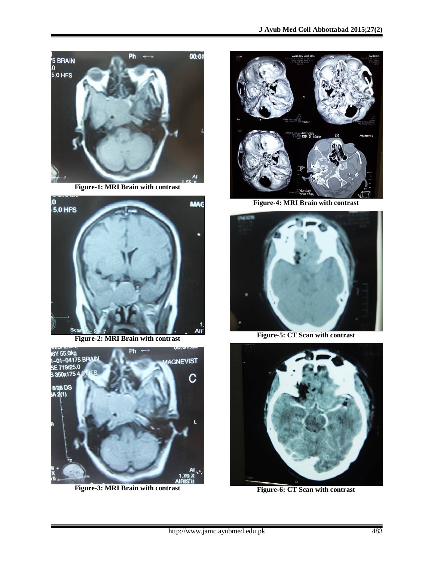

**Figure-1: MRI Brain with contrast**



**Figure-2: MRI Brain with contrast**



**Figure-3: MRI Brain with contrast**



**Figure-4: MRI Brain with contrast**



**Figure-5: CT Scan with contrast**



**Figure-6: CT Scan with contrast**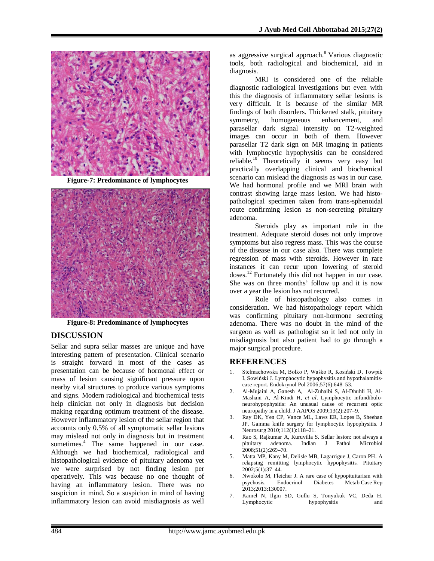

**Figure-7: Predominance of lymphocytes**



**Figure-8: Predominance of lymphocytes**

## **DISCUSSION**

Sellar and supra sellar masses are unique and have interesting pattern of presentation. Clinical scenario is straight forward in most of the cases as presentation can be because of hormonal effect or mass of lesion causing significant pressure upon nearby vital structures to produce various symptoms and signs. Modern radiological and biochemical tests help clinician not only in diagnosis but decision making regarding optimum treatment of the disease. However inflammatory lesion of the sellar region that accounts only 0.5% of all symptomatic sellar lesions may mislead not only in diagnosis but in treatment sometimes.<sup>4</sup> The same happened in our case. Although we had biochemical, radiological and histopathological evidence of pituitary adenoma yet we were surprised by not finding lesion per operatively. This was because no one thought of having an inflammatory lesion. There was no suspicion in mind. So a suspicion in mind of having inflammatory lesion can avoid misdiagnosis as well

as aggressive surgical approach.<sup>8</sup> Various diagnostic tools, both radiological and biochemical, aid in diagnosis.

MRI is considered one of the reliable diagnostic radiological investigations but even with this the diagnosis of inflammatory sellar lesions is very difficult. It is because of the similar MR findings of both disorders. Thickened stalk, pituitary symmetry, homogeneous enhancement, and parasellar dark signal intensity on T2-weighted images can occur in both of them. However parasellar T2 dark sign on MR imaging in patients with lymphocytic hypophysitis can be considered reliable.<sup>10</sup> Theoretically it seems very easy but practically overlapping clinical and biochemical scenario can mislead the diagnosis as was in our case. We had hormonal profile and we MRI brain with contrast showing large mass lesion. We had histopathological specimen taken from trans-sphenoidal route confirming lesion as non-secreting pituitary adenoma.

Steroids play as important role in the treatment. Adequate steroid doses not only improve symptoms but also regress mass. This was the course of the disease in our case also. There was complete regression of mass with steroids. However in rare instances it can recur upon lowering of steroid doses.<sup>12</sup> Fortunately this did not happen in our case. She was on three months' follow up and it is now over a year the lesion has not recurred.

Role of histopathology also comes in consideration. We had histopathology report which was confirming pituitary non-hormone secreting adenoma. There was no doubt in the mind of the surgeon as well as pathologist so it led not only in misdiagnosis but also patient had to go through a major surgical procedure.

#### **REFERENCES**

- 1. Stelmachowska M, Bolko P, Waśko R, Kosiński D, Towpik I, Sowiński J. Lymphocytic hypophysitis and hypothalamitiscase report. Endokrynol Pol 2006;57(6):648–53.
- 2. Al-Mujaini A, Ganesh A, Al-Zuhaibi S, Al-Dhuhli H, Al-Mashani A, Al-Kindi H, *et al*. Lymphocytic infundibuloneurohypophysitis: An unusual cause of recurrent optic neuropathy in a child. J AAPOS 2009;13(2):207–9.
- 3. Ray DK, Yen CP, Vance ML, Laws ER, Lopes B, Sheehan JP. Gamma knife surgery for lymphocytic hypophysitis. J Neurosurg 2010;112(1):118–21.
- 4. Rao S, Rajkumar A, Kuruvilla S. Sellar lesion: not always a adenoma. Indian J Pathol 2008;51(2):269–70.
- 5. Matta MP, Kany M, Delisle MB, Lagarrigue J, Caron PH. A relapsing remitting lymphocytic hypophysitis. Pituitary 2002;5(1):37–44.
- 6. Nwokolo M, Fletcher J. A rare case of hypopituitarism with<br>psychosis. Endocrinol Diabetes Metab Case Rep Metab Case Rep 2013;2013:130007.
- 7. Kamel N, Ilgin SD, Gullu S, Tonyukuk VC, Deda H. hypophysitis and